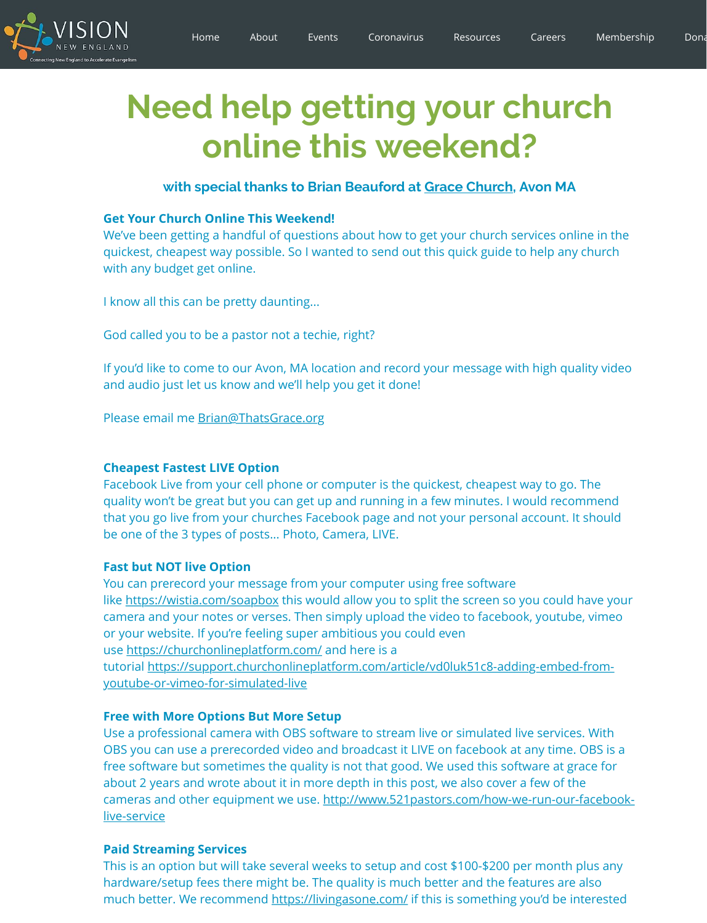[God ca](https://www.visionnewengland.org/)lled you to be a pastor not a techie, right?

If you'd like t[o come to o](https://www.visionnewengland.org/)ur Avon, MA location and record your m and audio just let us know and we'll help you get it done!

Please email me Brian@ThatsGrace.org

## **Cheapest Fastest LIVE Option**

Facebook Live from your cell phone or computer is the quickest, quality won't be great but you can get up and running in a few m that you go live from your churches Facebook page and not you be one of the 3 types of posts... Photo, Camera, LIVE.

## **Fast but NOT live Option**

You can prerecord your message from your computer using free like https://wistia.com/soapbox this would allow you to split the camera and your notes or verses. Then simply upload the video or your website. If you're feeling super ambitious you could even use https://churchonlineplatform.com/ and here is a tutorial https://support.churchonlineplatform.com/article/vd0lu youtube-or-vimeo-for-simulated-live

## **Free with More Options But More Setup**

Use a professional camera with OBS software to stream live or services. OBS you can use [a prerecorded video an](mailto:Brian@ThatsGrace.org)d broadcast it LIVE on face free software but sometimes the quality is not that good. We use about 2 years and wrote about it in more depth in this post, we cameras and other equipment we use. http://www.521pastors.com live-service

## **Paid Streaming Services**

This is an option but will take several weeks to setup and cost \$1 hardware/setup fees there might be. The quality is much better much better. We recommend https://livingasone.com/ if this is s